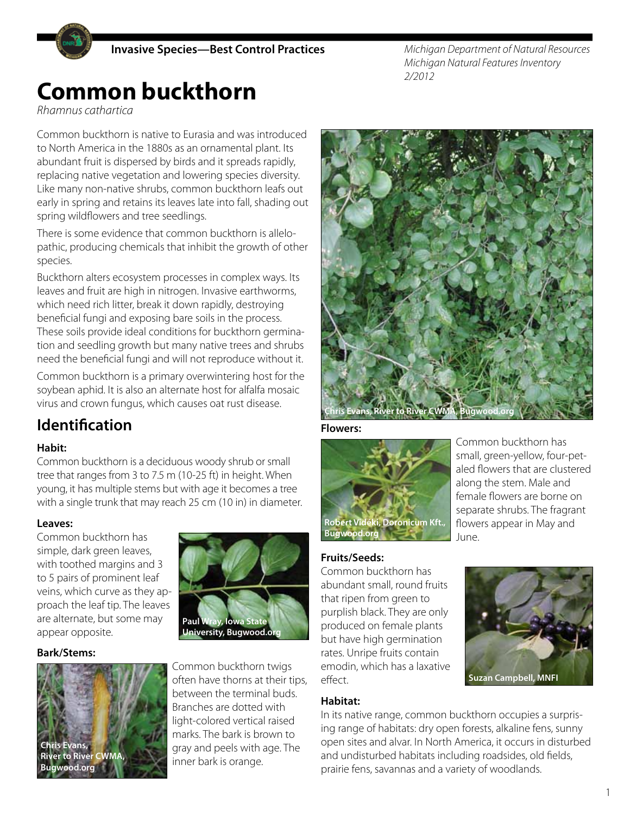

*Michigan Department of Natural Resources Michigan Natural Features Inventory 2/2012*

# **Common buckthorn**

*Rhamnus cathartica*

Common buckthorn is native to Eurasia and was introduced to North America in the 1880s as an ornamental plant. Its abundant fruit is dispersed by birds and it spreads rapidly, replacing native vegetation and lowering species diversity. Like many non-native shrubs, common buckthorn leafs out early in spring and retains its leaves late into fall, shading out spring wildflowers and tree seedlings.

There is some evidence that common buckthorn is allelopathic, producing chemicals that inhibit the growth of other species.

Buckthorn alters ecosystem processes in complex ways. Its leaves and fruit are high in nitrogen. Invasive earthworms, which need rich litter, break it down rapidly, destroying beneficial fungi and exposing bare soils in the process. These soils provide ideal conditions for buckthorn germination and seedling growth but many native trees and shrubs need the beneficial fungi and will not reproduce without it.

Common buckthorn is a primary overwintering host for the soybean aphid. It is also an alternate host for alfalfa mosaic virus and crown fungus, which causes oat rust disease.

## **Identification**

#### **Habit:**

Common buckthorn is a deciduous woody shrub or small tree that ranges from 3 to 7.5 m (10-25 ft) in height. When young, it has multiple stems but with age it becomes a tree with a single trunk that may reach 25 cm (10 in) in diameter.

#### **Leaves:**

Common buckthorn has simple, dark green leaves, with toothed margins and 3 to 5 pairs of prominent leaf veins, which curve as they approach the leaf tip. The leaves are alternate, but some may appear opposite.

#### **Bark/Stems:**





Common buckthorn twigs often have thorns at their tips, between the terminal buds. Branches are dotted with light-colored vertical raised marks. The bark is brown to gray and peels with age. The inner bark is orange.



**Flowers:** 



Common buckthorn has small, green-yellow, four-petaled flowers that are clustered along the stem. Male and female flowers are borne on separate shrubs. The fragrant flowers appear in May and June.

#### **Fruits/Seeds:**

Common buckthorn has abundant small, round fruits that ripen from green to purplish black. They are only produced on female plants but have high germination rates. Unripe fruits contain emodin, which has a laxative effect.

#### **Habitat:**

In its native range, common buckthorn occupies a surprising range of habitats: dry open forests, alkaline fens, sunny open sites and alvar. In North America, it occurs in disturbed and undisturbed habitats including roadsides, old fields, prairie fens, savannas and a variety of woodlands.



**Suzan Campbell, MNFI**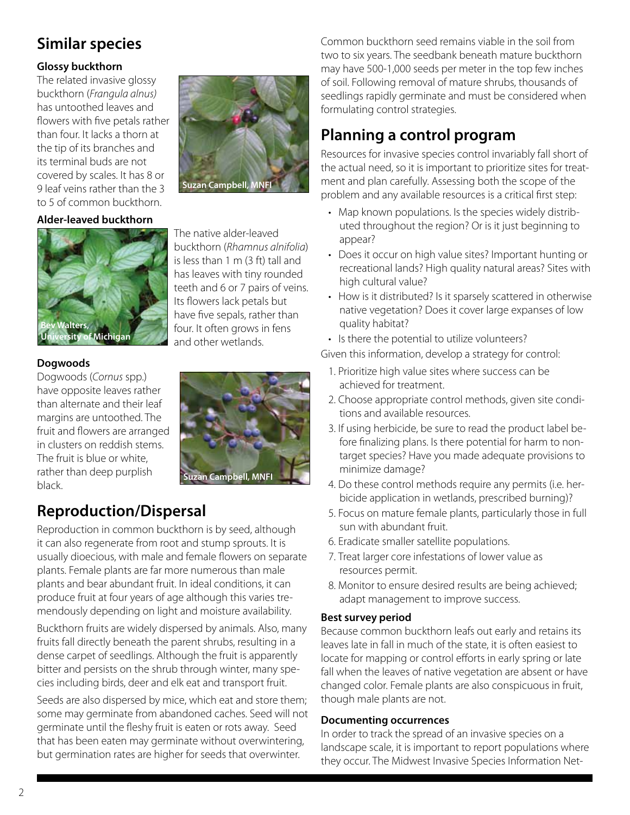## **Similar species**

#### **Glossy buckthorn**

The related invasive glossy buckthorn (*Frangula alnus)* has untoothed leaves and flowers with five petals rather than four. It lacks a thorn at the tip of its branches and its terminal buds are not covered by scales. It has 8 or 9 leaf veins rather than the 3 to 5 of common buckthorn.

#### **Alder-leaved buckthorn**



#### The native alder-leaved buckthorn (*Rhamnus alnifolia*) is less than 1 m (3 ft) tall and has leaves with tiny rounded teeth and 6 or 7 pairs of veins. Its flowers lack petals but have five sepals, rather than four. It often grows in fens and other wetlands.

**Suzan Campbell, MNF** 

#### **Dogwoods**

Dogwoods (*Cornus* spp.) have opposite leaves rather than alternate and their leaf margins are untoothed. The fruit and flowers are arranged in clusters on reddish stems. The fruit is blue or white, rather than deep purplish black.



## **Reproduction/Dispersal**

Reproduction in common buckthorn is by seed, although it can also regenerate from root and stump sprouts. It is usually dioecious, with male and female flowers on separate plants. Female plants are far more numerous than male plants and bear abundant fruit. In ideal conditions, it can produce fruit at four years of age although this varies tremendously depending on light and moisture availability.

Buckthorn fruits are widely dispersed by animals. Also, many fruits fall directly beneath the parent shrubs, resulting in a dense carpet of seedlings. Although the fruit is apparently bitter and persists on the shrub through winter, many species including birds, deer and elk eat and transport fruit.

Seeds are also dispersed by mice, which eat and store them; some may germinate from abandoned caches. Seed will not germinate until the fleshy fruit is eaten or rots away. Seed that has been eaten may germinate without overwintering, but germination rates are higher for seeds that overwinter.

Common buckthorn seed remains viable in the soil from two to six years. The seedbank beneath mature buckthorn may have 500-1,000 seeds per meter in the top few inches of soil. Following removal of mature shrubs, thousands of seedlings rapidly germinate and must be considered when formulating control strategies.

## **Planning a control program**

Resources for invasive species control invariably fall short of the actual need, so it is important to prioritize sites for treatment and plan carefully. Assessing both the scope of the problem and any available resources is a critical first step:

- Map known populations. Is the species widely distributed throughout the region? Or is it just beginning to appear?
- Does it occur on high value sites? Important hunting or recreational lands? High quality natural areas? Sites with high cultural value?
- How is it distributed? Is it sparsely scattered in otherwise native vegetation? Does it cover large expanses of low quality habitat?
- Is there the potential to utilize volunteers?
- Given this information, develop a strategy for control:
	- 1. Prioritize high value sites where success can be achieved for treatment.
	- 2. Choose appropriate control methods, given site conditions and available resources.
	- 3. If using herbicide, be sure to read the product label before finalizing plans. Is there potential for harm to nontarget species? Have you made adequate provisions to minimize damage?
	- 4. Do these control methods require any permits (i.e. herbicide application in wetlands, prescribed burning)?
	- 5. Focus on mature female plants, particularly those in full sun with abundant fruit.
	- 6. Eradicate smaller satellite populations.
	- 7. Treat larger core infestations of lower value as resources permit.
	- 8. Monitor to ensure desired results are being achieved; adapt management to improve success.

#### **Best survey period**

Because common buckthorn leafs out early and retains its leaves late in fall in much of the state, it is often easiest to locate for mapping or control efforts in early spring or late fall when the leaves of native vegetation are absent or have changed color. Female plants are also conspicuous in fruit, though male plants are not.

#### **Documenting occurrences**

In order to track the spread of an invasive species on a landscape scale, it is important to report populations where they occur. The Midwest Invasive Species Information Net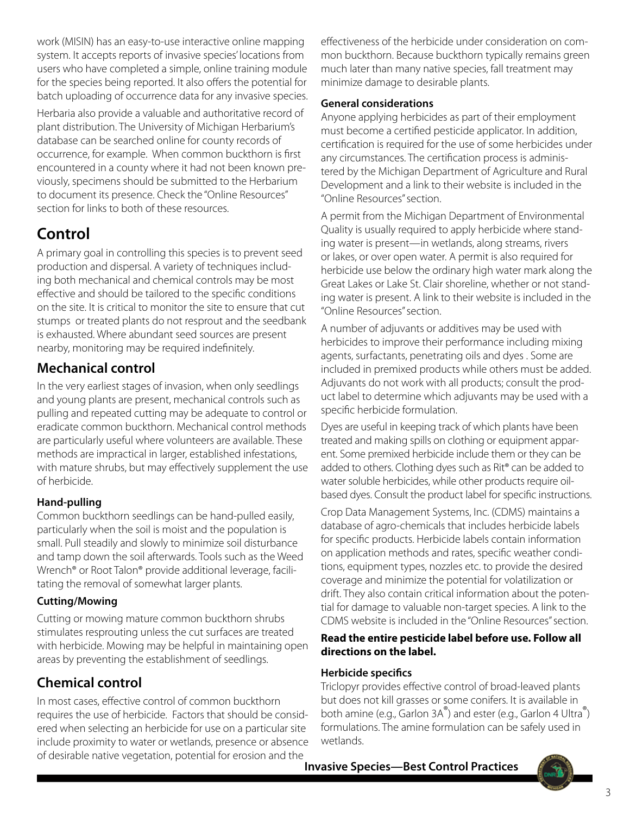work (MISIN) has an easy-to-use interactive online mapping system. It accepts reports of invasive species' locations from users who have completed a simple, online training module for the species being reported. It also offers the potential for batch uploading of occurrence data for any invasive species.

Herbaria also provide a valuable and authoritative record of plant distribution. The University of Michigan Herbarium's database can be searched online for county records of occurrence, for example. When common buckthorn is first encountered in a county where it had not been known previously, specimens should be submitted to the Herbarium to document its presence. Check the "Online Resources" section for links to both of these resources.

## **Control**

A primary goal in controlling this species is to prevent seed production and dispersal. A variety of techniques including both mechanical and chemical controls may be most effective and should be tailored to the specific conditions on the site. It is critical to monitor the site to ensure that cut stumps or treated plants do not resprout and the seedbank is exhausted. Where abundant seed sources are present nearby, monitoring may be required indefinitely.

### **Mechanical control**

In the very earliest stages of invasion, when only seedlings and young plants are present, mechanical controls such as pulling and repeated cutting may be adequate to control or eradicate common buckthorn. Mechanical control methods are particularly useful where volunteers are available. These methods are impractical in larger, established infestations, with mature shrubs, but may effectively supplement the use of herbicide.

#### **Hand-pulling**

Common buckthorn seedlings can be hand-pulled easily, particularly when the soil is moist and the population is small. Pull steadily and slowly to minimize soil disturbance and tamp down the soil afterwards. Tools such as the Weed Wrench® or Root Talon® provide additional leverage, facilitating the removal of somewhat larger plants.

#### **Cutting/Mowing**

Cutting or mowing mature common buckthorn shrubs stimulates resprouting unless the cut surfaces are treated with herbicide. Mowing may be helpful in maintaining open areas by preventing the establishment of seedlings.

### **Chemical control**

In most cases, effective control of common buckthorn requires the use of herbicide. Factors that should be considered when selecting an herbicide for use on a particular site include proximity to water or wetlands, presence or absence of desirable native vegetation, potential for erosion and the

effectiveness of the herbicide under consideration on common buckthorn. Because buckthorn typically remains green much later than many native species, fall treatment may minimize damage to desirable plants.

#### **General considerations**

Anyone applying herbicides as part of their employment must become a certified pesticide applicator. In addition, certification is required for the use of some herbicides under any circumstances. The certification process is administered by the Michigan Department of Agriculture and Rural Development and a link to their website is included in the "Online Resources" section.

A permit from the Michigan Department of Environmental Quality is usually required to apply herbicide where standing water is present—in wetlands, along streams, rivers or lakes, or over open water. A permit is also required for herbicide use below the ordinary high water mark along the Great Lakes or Lake St. Clair shoreline, whether or not standing water is present. A link to their website is included in the "Online Resources" section.

A number of adjuvants or additives may be used with herbicides to improve their performance including mixing agents, surfactants, penetrating oils and dyes . Some are included in premixed products while others must be added. Adjuvants do not work with all products; consult the product label to determine which adjuvants may be used with a specific herbicide formulation.

Dyes are useful in keeping track of which plants have been treated and making spills on clothing or equipment apparent. Some premixed herbicide include them or they can be added to others. Clothing dyes such as Rit® can be added to water soluble herbicides, while other products require oilbased dyes. Consult the product label for specific instructions.

Crop Data Management Systems, Inc. (CDMS) maintains a database of agro-chemicals that includes herbicide labels for specific products. Herbicide labels contain information on application methods and rates, specific weather conditions, equipment types, nozzles etc. to provide the desired coverage and minimize the potential for volatilization or drift. They also contain critical information about the potential for damage to valuable non-target species. A link to the CDMS website is included in the "Online Resources" section.

#### **Read the entire pesticide label before use. Follow all directions on the label.**

#### **Herbicide specifics**

Triclopyr provides effective control of broad-leaved plants but does not kill grasses or some conifers. It is available in both amine (e.g., Garlon 3A®) and ester (e.g., Garlon 4 Ultra®) formulations. The amine formulation can be safely used in wetlands.

**Invasive Species—Best Control Practices**

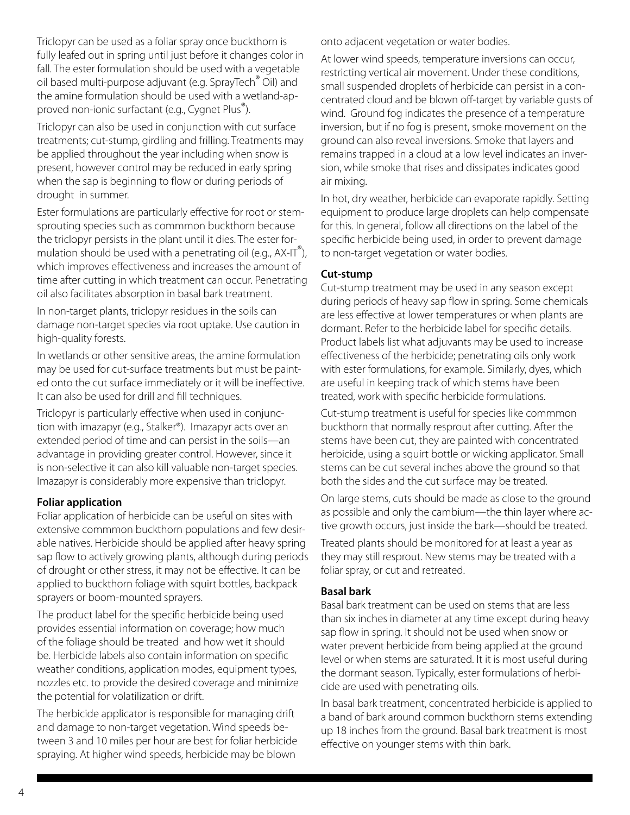Triclopyr can be used as a foliar spray once buckthorn is fully leafed out in spring until just before it changes color in fall. The ester formulation should be used with a vegetable oil based multi-purpose adjuvant (e.g. SprayTech® Oil) and the amine formulation should be used with a wetland-approved non-ionic surfactant (e.g., Cygnet Plus®).

Triclopyr can also be used in conjunction with cut surface treatments; cut-stump, girdling and frilling. Treatments may be applied throughout the year including when snow is present, however control may be reduced in early spring when the sap is beginning to flow or during periods of drought in summer.

Ester formulations are particularly effective for root or stemsprouting species such as commmon buckthorn because the triclopyr persists in the plant until it dies. The ester formulation should be used with a penetrating oil (e.g., AX-IT<sup>®</sup>), which improves effectiveness and increases the amount of time after cutting in which treatment can occur. Penetrating oil also facilitates absorption in basal bark treatment.

In non-target plants, triclopyr residues in the soils can damage non-target species via root uptake. Use caution in high-quality forests.

In wetlands or other sensitive areas, the amine formulation may be used for cut-surface treatments but must be painted onto the cut surface immediately or it will be ineffective. It can also be used for drill and fill techniques.

Triclopyr is particularly effective when used in conjunction with imazapyr (e.g., Stalker®). Imazapyr acts over an extended period of time and can persist in the soils—an advantage in providing greater control. However, since it is non-selective it can also kill valuable non-target species. Imazapyr is considerably more expensive than triclopyr.

#### **Foliar application**

Foliar application of herbicide can be useful on sites with extensive commmon buckthorn populations and few desirable natives. Herbicide should be applied after heavy spring sap flow to actively growing plants, although during periods of drought or other stress, it may not be effective. It can be applied to buckthorn foliage with squirt bottles, backpack sprayers or boom-mounted sprayers.

The product label for the specific herbicide being used provides essential information on coverage; how much of the foliage should be treated and how wet it should be. Herbicide labels also contain information on specific weather conditions, application modes, equipment types, nozzles etc. to provide the desired coverage and minimize the potential for volatilization or drift.

The herbicide applicator is responsible for managing drift and damage to non-target vegetation. Wind speeds between 3 and 10 miles per hour are best for foliar herbicide spraying. At higher wind speeds, herbicide may be blown

onto adjacent vegetation or water bodies.

At lower wind speeds, temperature inversions can occur, restricting vertical air movement. Under these conditions, small suspended droplets of herbicide can persist in a concentrated cloud and be blown off-target by variable gusts of wind. Ground fog indicates the presence of a temperature inversion, but if no fog is present, smoke movement on the ground can also reveal inversions. Smoke that layers and remains trapped in a cloud at a low level indicates an inversion, while smoke that rises and dissipates indicates good air mixing.

In hot, dry weather, herbicide can evaporate rapidly. Setting equipment to produce large droplets can help compensate for this. In general, follow all directions on the label of the specific herbicide being used, in order to prevent damage to non-target vegetation or water bodies.

#### **Cut-stump**

Cut-stump treatment may be used in any season except during periods of heavy sap flow in spring. Some chemicals are less effective at lower temperatures or when plants are dormant. Refer to the herbicide label for specific details. Product labels list what adjuvants may be used to increase effectiveness of the herbicide; penetrating oils only work with ester formulations, for example. Similarly, dyes, which are useful in keeping track of which stems have been treated, work with specific herbicide formulations.

Cut-stump treatment is useful for species like commmon buckthorn that normally resprout after cutting. After the stems have been cut, they are painted with concentrated herbicide, using a squirt bottle or wicking applicator. Small stems can be cut several inches above the ground so that both the sides and the cut surface may be treated.

On large stems, cuts should be made as close to the ground as possible and only the cambium—the thin layer where active growth occurs, just inside the bark—should be treated.

Treated plants should be monitored for at least a year as they may still resprout. New stems may be treated with a foliar spray, or cut and retreated.

#### **Basal bark**

Basal bark treatment can be used on stems that are less than six inches in diameter at any time except during heavy sap flow in spring. It should not be used when snow or water prevent herbicide from being applied at the ground level or when stems are saturated. It it is most useful during the dormant season. Typically, ester formulations of herbicide are used with penetrating oils.

In basal bark treatment, concentrated herbicide is applied to a band of bark around common buckthorn stems extending up 18 inches from the ground. Basal bark treatment is most effective on younger stems with thin bark.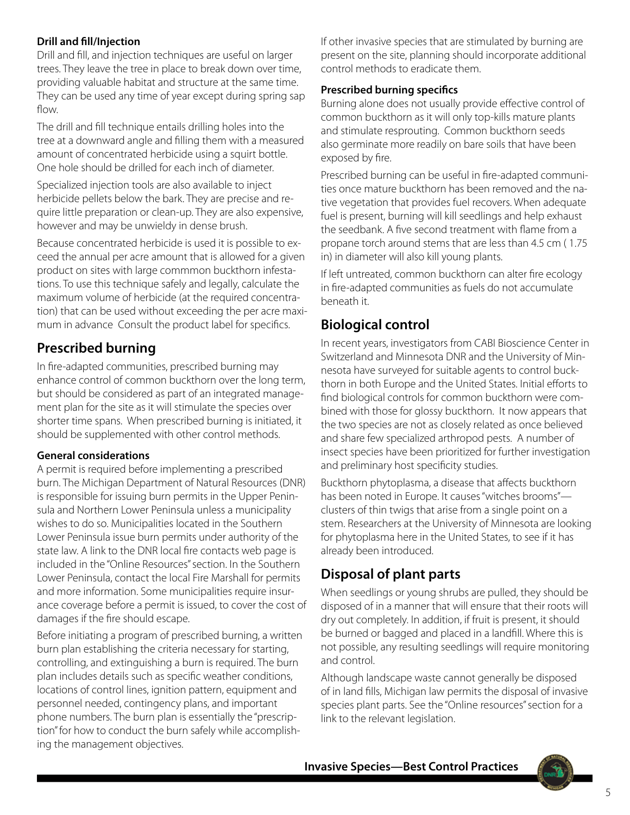#### **Drill and fill/Injection**

Drill and fill, and injection techniques are useful on larger trees. They leave the tree in place to break down over time, providing valuable habitat and structure at the same time. They can be used any time of year except during spring sap flow.

The drill and fill technique entails drilling holes into the tree at a downward angle and filling them with a measured amount of concentrated herbicide using a squirt bottle. One hole should be drilled for each inch of diameter.

Specialized injection tools are also available to inject herbicide pellets below the bark. They are precise and require little preparation or clean-up. They are also expensive, however and may be unwieldy in dense brush.

Because concentrated herbicide is used it is possible to exceed the annual per acre amount that is allowed for a given product on sites with large commmon buckthorn infestations. To use this technique safely and legally, calculate the maximum volume of herbicide (at the required concentration) that can be used without exceeding the per acre maximum in advance Consult the product label for specifics.

### **Prescribed burning**

In fire-adapted communities, prescribed burning may enhance control of common buckthorn over the long term, but should be considered as part of an integrated management plan for the site as it will stimulate the species over shorter time spans. When prescribed burning is initiated, it should be supplemented with other control methods.

#### **General considerations**

A permit is required before implementing a prescribed burn. The Michigan Department of Natural Resources (DNR) is responsible for issuing burn permits in the Upper Peninsula and Northern Lower Peninsula unless a municipality wishes to do so. Municipalities located in the Southern Lower Peninsula issue burn permits under authority of the state law. A link to the DNR local fire contacts web page is included in the "Online Resources" section. In the Southern Lower Peninsula, contact the local Fire Marshall for permits and more information. Some municipalities require insurance coverage before a permit is issued, to cover the cost of damages if the fire should escape.

Before initiating a program of prescribed burning, a written burn plan establishing the criteria necessary for starting, controlling, and extinguishing a burn is required. The burn plan includes details such as specific weather conditions, locations of control lines, ignition pattern, equipment and personnel needed, contingency plans, and important phone numbers. The burn plan is essentially the "prescription" for how to conduct the burn safely while accomplishing the management objectives.

If other invasive species that are stimulated by burning are present on the site, planning should incorporate additional control methods to eradicate them.

#### **Prescribed burning specifics**

Burning alone does not usually provide effective control of common buckthorn as it will only top-kills mature plants and stimulate resprouting. Common buckthorn seeds also germinate more readily on bare soils that have been exposed by fire.

Prescribed burning can be useful in fire-adapted communities once mature buckthorn has been removed and the native vegetation that provides fuel recovers. When adequate fuel is present, burning will kill seedlings and help exhaust the seedbank. A five second treatment with flame from a propane torch around stems that are less than 4.5 cm ( 1.75 in) in diameter will also kill young plants.

If left untreated, common buckthorn can alter fire ecology in fire-adapted communities as fuels do not accumulate beneath it.

### **Biological control**

In recent years, investigators from CABI Bioscience Center in Switzerland and Minnesota DNR and the University of Minnesota have surveyed for suitable agents to control buckthorn in both Europe and the United States. Initial efforts to find biological controls for common buckthorn were combined with those for glossy buckthorn. It now appears that the two species are not as closely related as once believed and share few specialized arthropod pests. A number of insect species have been prioritized for further investigation and preliminary host specificity studies.

Buckthorn phytoplasma, a disease that affects buckthorn has been noted in Europe. It causes "witches brooms" clusters of thin twigs that arise from a single point on a stem. Researchers at the University of Minnesota are looking for phytoplasma here in the United States, to see if it has already been introduced.

### **Disposal of plant parts**

When seedlings or young shrubs are pulled, they should be disposed of in a manner that will ensure that their roots will dry out completely. In addition, if fruit is present, it should be burned or bagged and placed in a landfill. Where this is not possible, any resulting seedlings will require monitoring and control.

Although landscape waste cannot generally be disposed of in land fills, Michigan law permits the disposal of invasive species plant parts. See the "Online resources" section for a link to the relevant legislation.

**Invasive Species—Best Control Practices**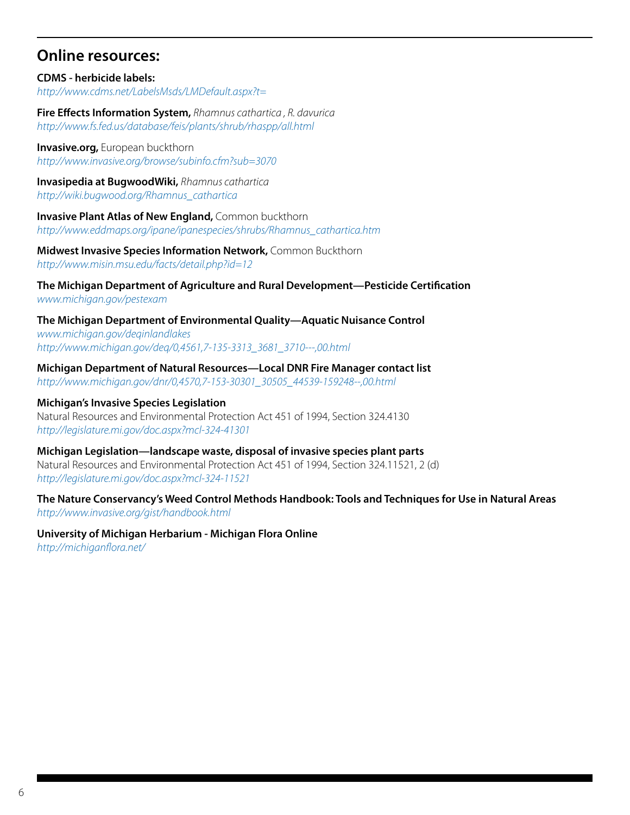### **Online resources:**

**CDMS - herbicide labels:** *http://www.cdms.net/LabelsMsds/LMDefault.aspx?t=*

**Fire Effects Information System,** *Rhamnus cathartica , R. davurica http://www.fs.fed.us/database/feis/plants/shrub/rhaspp/all.html*

**Invasive.org, European buckthorn** *http://www.invasive.org/browse/subinfo.cfm?sub=3070*

**Invasipedia at BugwoodWiki,** *Rhamnus cathartica http://wiki.bugwood.org/Rhamnus\_cathartica*

**Invasive Plant Atlas of New England, Common buckthorn** *http://www.eddmaps.org/ipane/ipanespecies/shrubs/Rhamnus\_cathartica.htm*

**Midwest Invasive Species Information Network,** Common Buckthorn *http://www.misin.msu.edu/facts/detail.php?id=12*

**The Michigan Department of Agriculture and Rural Development—Pesticide Certification** *www.michigan.gov/pestexam* 

**The Michigan Department of Environmental Quality—Aquatic Nuisance Control** *www.michigan.gov/deqinlandlakes [http://www.michigan.gov/deq/0,4561,7-135-3313\\_3681\\_3710---,00.html](http://www.michigan.gov/deq/0,4561,7-135-3313_3681_3710---,00.html)*

**Michigan Department of Natural Resources—Local DNR Fire Manager contact list** *[http://www.michigan.gov/dnr/0,4570,7-153-30301\\_30505\\_44539-159248--,00.html](http://www.michigan.gov/dnr/0,4570,7-153-30301_30505_44539-159248--,00.html)*

**Michigan's Invasive Species Legislation** Natural Resources and Environmental Protection Act 451 of 1994, Section 324.4130 *http://legislature.mi.gov/doc.aspx?mcl-324-41301*

**Michigan Legislation—landscape waste, disposal of invasive species plant parts** Natural Resources and Environmental Protection Act 451 of 1994, Section 324.11521, 2 (d) *http://legislature.mi.gov/doc.aspx?mcl-324-11521*

**The Nature Conservancy's Weed Control Methods Handbook: Tools and Techniques for Use in Natural Areas** *http://www.invasive.org/gist/handbook.html*

**University of Michigan Herbarium - Michigan Flora Online** *http://michiganflora.net/*